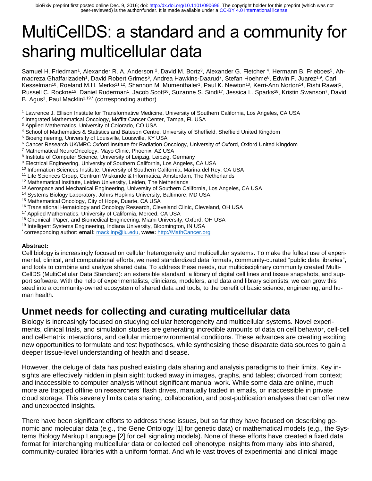# MultiCellDS: a standard and a community for sharing multicellular data

Samuel H. Friedman<sup>1</sup>, Alexander R. A. Anderson <sup>2</sup>, David M. Bortz<sup>3</sup>, Alexander G. Fletcher <sup>4</sup>, Hermann B. Frieboes<sup>5</sup>, Ahmadreza Ghaffarizadeh<sup>1</sup>, David Robert Grimes<sup>6</sup>, Andrea Hawkins-Daarud<sup>7</sup>, Stefan Hoehme<sup>8</sup>, Edwin F. Juarez<sup>1,9</sup>, Carl Kesselman<sup>10</sup>, Roeland M.H. Merks<sup>11,12</sup>, Shannon M. Mumenthaler<sup>1</sup>, Paul K. Newton<sup>13</sup>, Kerri-Ann Norton<sup>14</sup>, Rishi Rawat<sup>1</sup>, Russell C. Rockne<sup>15</sup>, Daniel Ruderman<sup>1</sup>, Jacob Scott<sup>16</sup>, Suzanne S. Sindi<sup>17</sup>, Jessica L. Sparks<sup>18</sup>, Kristin Swanson<sup>7</sup>, David B. Agus<sup>1</sup>, Paul Macklin<sup>1,19,\*</sup> (corresponding author)

1 Lawrence J. Ellison Institute for Transformative Medicine, University of Southern California, Los Angeles, CA USA

- <sup>2</sup> Integrated Mathematical Oncology, Moffitt Cancer Center, Tampa, FL USA
- 3 Applied Mathematics, University of Colorado, CO USA
- 4 School of Mathematics & Statistics and Bateson Centre, University of Sheffield, Sheffield United Kingdom
- 5 Bioengineering, University of Louisville, Louisville, KY USA
- <sup>6</sup> Cancer Research UK/MRC Oxford Institute for Radiation Oncology, University of Oxford, Oxford United Kingdom
- 7 Mathematical NeuroOncology, Mayo Clinic, Phoenix, AZ USA
- <sup>8</sup> Institute of Computer Science, University of Leipzig, Leipzig, Germany
- <sup>9</sup> Electrical Engineering, University of Southern California, Los Angeles, CA USA
- <sup>10</sup> Information Sciences Institute, University of Southern California, Marina del Rey, CA USA
- <sup>11</sup> Life Sciences Group, Centrum Wiskunde & Informatica, Amsterdam, The Netherlands
- <sup>12</sup> Mathematical Institute, Leiden University, Leiden, The Netherlands
- <sup>13</sup> Aerospace and Mechanical Engineering, University of Southern California, Los Angeles, CA USA
- <sup>14</sup> Systems Biology Laboratory, Johns Hopkins University, Baltimore, MD USA
- <sup>15</sup> Mathematical Oncology, City of Hope, Duarte, CA USA
- <sup>16</sup> Translational Hematology and Oncology Research, Cleveland Clinic, Cleveland, OH USA
- <sup>17</sup> Applied Mathematics, University of California, Merced, CA USA
- <sup>18</sup> Chemical, Paper, and Biomedical Engineering, Miami University, Oxford, OH USA
- <sup>19</sup> Intelligent Systems Engineering, Indiana University, Bloomington, IN USA
- \* corresponding author: **email:** [macklinp@iu.edu,](mailto:macklinp@iu.edu) **www:** [http://MathCancer.org](http://mathcancer.org/)

#### **Abstract:**

Cell biology is increasingly focused on cellular heterogeneity and multicellular systems. To make the fullest use of experimental, clinical, and computational efforts, we need standardized data formats, community-curated "public data libraries", and tools to combine and analyze shared data. To address these needs, our multidisciplinary community created Multi-CellDS (MultiCellular Data Standard): an extensible standard, a library of digital cell lines and tissue snapshots, and support software. With the help of experimentalists, clinicians, modelers, and data and library scientists, we can grow this seed into a community-owned ecosystem of shared data and tools, to the benefit of basic science, engineering, and human health.

#### **Unmet needs for collecting and curating multicellular data**

Biology is increasingly focused on studying cellular heterogeneity and multicellular systems. Novel experiments, clinical trials, and simulation studies are generating incredible amounts of data on cell behavior, cell-cell and cell-matrix interactions, and cellular microenvironmental conditions. These advances are creating exciting new opportunities to formulate and test hypotheses, while synthesizing these disparate data sources to gain a deeper tissue-level understanding of health and disease.

However, the deluge of data has pushed existing data sharing and analysis paradigms to their limits. Key insights are effectively hidden in plain sight: tucked away in images, graphs, and tables; divorced from context; and inaccessible to computer analysis without significant manual work. While some data are online, much more are trapped offline on researchers' flash drives, manually traded in emails, or inaccessible in private cloud storage. This severely limits data sharing, collaboration, and post-publication analyses that can offer new and unexpected insights.

There have been significant efforts to address these issues, but so far they have focused on describing genomic and molecular data (e.g., the Gene Ontology [1] for genetic data) or mathematical models (e.g., the Systems Biology Markup Language [2] for cell signaling models). None of these efforts have created a fixed data format for interchanging multicellular data or collected cell phenotype insights from many labs into shared, community-curated libraries with a uniform format. And while vast troves of experimental and clinical image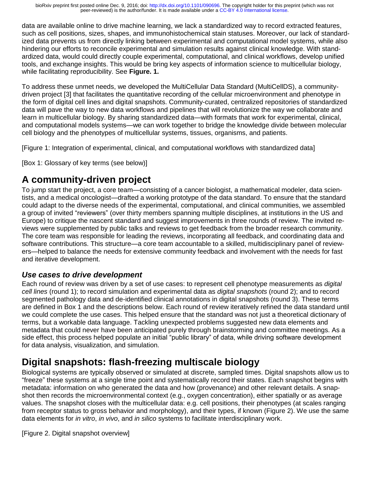data are available online to drive machine learning, we lack a standardized way to record extracted features, such as cell positions, sizes, shapes, and immunohistochemical stain statuses. Moreover, our lack of standardized data prevents us from directly linking between experimental and computational model systems, while also hindering our efforts to reconcile experimental and simulation results against clinical knowledge. With standardized data, would could directly couple experimental, computational, and clinical workflows, develop unified tools, and exchange insights. This would be bring key aspects of information science to multicellular biology, while facilitating reproducibility. See **Figure. 1.**

To address these unmet needs, we developed the MultiCellular Data Standard (MultiCellDS), a communitydriven project [3] that facilitates the quantitative recording of the cellular microenvironment and phenotype in the form of digital cell lines and digital snapshots. Community-curated, centralized repositories of standardized data will pave the way to new data workflows and pipelines that will revolutionize the way we collaborate and learn in multicellular biology. By sharing standardized data—with formats that work for experimental, clinical, and computational models systems—we can work together to bridge the knowledge divide between molecular cell biology and the phenotypes of multicellular systems, tissues, organisms, and patients.

[Figure 1: Integration of experimental, clinical, and computational workflows with standardized data]

[Box 1: Glossary of key terms (see below)]

## **A community-driven project**

To jump start the project, a core team—consisting of a cancer biologist, a mathematical modeler, data scientists, and a medical oncologist—drafted a working prototype of the data standard. To ensure that the standard could adapt to the diverse needs of the experimental, computational, and clinical communities, we assembled a group of invited "reviewers" (over thirty members spanning multiple disciplines, at institutions in the US and Europe) to critique the nascent standard and suggest improvements in three rounds of review. The invited reviews were supplemented by public talks and reviews to get feedback from the broader research community. The core team was responsible for leading the reviews, incorporating all feedback, and coordinating data and software contributions. This structure—a core team accountable to a skilled, multidisciplinary panel of reviewers—helped to balance the needs for extensive community feedback and involvement with the needs for fast and iterative development.

#### *Use cases to drive development*

Each round of review was driven by a set of use cases: to represent cell phenotype measurements as *digital cell lines* (round 1); to record simulation and experimental data as *digital snapshots* (round 2); and to record segmented pathology data and de-identified clinical annotations in digital snapshots (round 3). These terms are defined in Box 1 and the descriptions below. Each round of review iteratively refined the data standard until we could complete the use cases. This helped ensure that the standard was not just a theoretical dictionary of terms, but a workable data language. Tackling unexpected problems suggested new data elements and metadata that could never have been anticipated purely through brainstorming and committee meetings. As a side effect, this process helped populate an initial "public library" of data, while driving software development for data analysis, visualization, and simulation.

## **Digital snapshots: flash-freezing multiscale biology**

Biological systems are typically observed or simulated at discrete, sampled times. Digital snapshots allow us to "freeze" these systems at a single time point and systematically record their states. Each snapshot begins with metadata: information on who generated the data and how (provenance) and other relevant details. A snapshot then records the microenvironmental context (e.g., oxygen concentration), either spatially or as average values. The snapshot closes with the multicellular data: e.g. cell positions, their phenotypes (at scales ranging from receptor status to gross behavior and morphology), and their types, if known (Figure 2). We use the same data elements for *in vitro*, *in vivo*, and *in silico* systems to facilitate interdisciplinary work.

[Figure 2. Digital snapshot overview]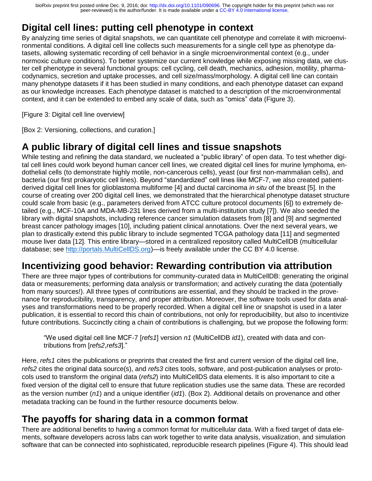peer-reviewed) is the author/funder. It is made available under a [CC-BY 4.0 International license.](http://creativecommons.org/licenses/by/4.0/) bioRxiv preprint first posted online Dec. 9, 2016; doi: [http://dx.doi.org/10.1101/090696.](http://dx.doi.org/10.1101/090696) The copyright holder for this preprint (which was not

## **Digital cell lines: putting cell phenotype in context**

By analyzing time series of digital snapshots, we can quantitate cell phenotype and correlate it with microenvironmental conditions. A digital cell line collects such measurements for a single cell type as phenotype datasets, allowing systematic recording of cell behavior in a single microenvironmental context (e.g., under normoxic culture conditions). To better systemize our current knowledge while exposing missing data, we cluster cell phenotype in several functional groups: cell cycling, cell death, mechanics, adhesion, motility, pharmacodynamics, secretion and uptake processes, and cell size/mass/morphology. A digital cell line can contain many phenotype datasets if it has been studied in many conditions, and each phenotype dataset can expand as our knowledge increases. Each phenotype dataset is matched to a description of the microenvironmental context, and it can be extended to embed any scale of data, such as "omics" data (Figure 3).

[Figure 3: Digital cell line overview]

[Box 2: Versioning, collections, and curation.]

#### **A public library of digital cell lines and tissue snapshots**

While testing and refining the data standard, we nucleated a "public library" of open data. To test whether digital cell lines could work beyond human cancer cell lines, we created digital cell lines for murine lymphoma, endothelial cells (to demonstrate highly motile, non-cancerous cells), yeast (our first non-mammalian cells), and bacteria (our first prokaryotic cell lines). Beyond "standardized" cell lines like MCF-7, we also created patientderived digital cell lines for glioblastoma multiforme [4] and ductal carcinoma *in situ* of the breast [5]. In the course of creating over 200 digital cell lines, we demonstrated that the hierarchical phenotype dataset structure could scale from basic (e.g., parameters derived from ATCC culture protocol documents [6]) to extremely detailed (e.g., MCF-10A and MDA-MB-231 lines derived from a multi-institution study [7]). We also seeded the library with digital snapshots, including reference cancer simulation datasets from [8] and [9] and segmented breast cancer pathology images [10], including patient clinical annotations. Over the next several years, we plan to drastically extend this public library to include segmented TCGA pathology data [11] and segmented mouse liver data [12]. This entire library—stored in a centralized repository called MultiCellDB (multicellular database; see [http://portals.MultiCellDS.org\)](http://portals.multicellds.org/)—is freely available under the CC BY 4.0 license.

#### **Incentivizing good behavior: Rewarding contribution via attribution**

There are three major types of contributions for community-curated data in MultiCellDB: generating the original data or measurements; performing data analysis or transformation; and actively curating the data (potentially from many sources!). All three types of contributions are essential, and they should be tracked in the provenance for reproducibility, transparency, and proper attribution. Moreover, the software tools used for data analyses and transformations need to be properly recorded. When a digital cell line or snapshot is used in a later publication, it is essential to record this chain of contributions, not only for reproducibility, but also to incentivize future contributions. Succinctly citing a chain of contributions is challenging, but we propose the following form:

"We used digital cell line MCF-7 [*refs1*] version *n1* (MultiCellDB *id1*), created with data and contributions from [*refs2*,*refs3*]."

Here, *refs1* cites the publications or preprints that created the first and current version of the digital cell line, *refs2* cites the original data source(s), and *refs3* cites tools, software, and post-publication analyses or protocols used to transform the original data (*refs2*) into MultiCellDS data elements. It is also important to cite a fixed version of the digital cell to ensure that future replication studies use the same data. These are recorded as the version number (*n1*) and a unique identifier (*id1*). (Box 2). Additional details on provenance and other metadata tracking can be found in the further resource documents below.

#### **The payoffs for sharing data in a common format**

There are additional benefits to having a common format for multicellular data. With a fixed target of data elements, software developers across labs can work together to write data analysis, visualization, and simulation software that can be connected into sophisticated, reproducible research pipelines (Figure 4). This should lead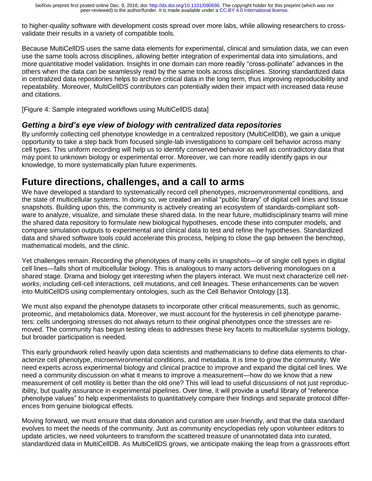to higher-quality software with development costs spread over more labs, while allowing researchers to crossvalidate their results in a variety of compatible tools.

Because MultiCellDS uses the same data elements for experimental, clinical and simulation data, we can even use the same tools across disciplines, allowing better integration of experimental data into simulations, and more quantitative model validation. Insights in one domain can more readily "cross-pollinate" advances in the others when the data can be seamlessly read by the same tools across disciplines. Storing standardized data in centralized data repositories helps to archive critical data in the long term, thus improving reproducibility and repeatability. Moreover, MultiCellDS contributors can potentially widen their impact with increased data reuse and citations.

[Figure 4: Sample integrated workflows using MultiCellDS data]

#### *Getting a bird's eye view of biology with centralized data repositories*

By uniformly collecting cell phenotype knowledge in a centralized repository (MultiCellDB), we gain a unique opportunity to take a step back from focused single-lab investigations to compare cell behavior across many cell types. This uniform recording will help us to identify conserved behavior as well as contradictory data that may point to unknown biology or experimental error. Moreover, we can more readily identify gaps in our knowledge, to more systematically plan future experiments.

#### **Future directions, challenges, and a call to arms**

We have developed a standard to systematically record cell phenotypes, microenvironmental conditions, and the state of multicellular systems. In doing so, we created an initial "public library" of digital cell lines and tissue snapshots. Building upon this, the community is actively creating an ecosystem of standards-compliant software to analyze, visualize, and simulate these shared data. In the near future, multidisciplinary teams will mine the shared data repository to formulate new biological hypotheses, encode these into computer models, and compare simulation outputs to experimental and clinical data to test and refine the hypotheses. Standardized data and shared software tools could accelerate this process, helping to close the gap between the benchtop, mathematical models, and the clinic.

Yet challenges remain. Recording the phenotypes of many cells in snapshots—or of single cell types in digital cell lines—falls short of multicellular biology. This is analogous to many actors delivering monologues on a shared stage. Drama and biology get interesting when the players interact. We must next characterize cell *networks*, including cell-cell interactions, cell mutations, and cell lineages. These enhancements can be woven into MultiCellDS using complementary ontologies, such as the Cell Behavior Ontology [13].

We must also expand the phenotype datasets to incorporate other critical measurements, such as genomic, proteomic, and metabolomics data. Moreover, we must account for the hysteresis in cell phenotype parameters: cells undergoing stresses do not always return to their original phenotypes once the stresses are removed. The community has begun testing ideas to addresses these key facets to multicellular systems biology, but broader participation is needed.

This early groundwork relied heavily upon data scientists and mathematicians to define data elements to characterize cell phenotype, microenvironmental conditions, and metadata. It is time to grow the community. We need experts across experimental biology and clinical practice to improve and expand the digital cell lines. We need a community discussion on what it means to improve a measurement—how do we know that a new measurement of cell motility is better than the old one? This will lead to useful discussions of not just reproducibility, but quality assurance in experimental pipelines. Over time, it will provide a useful library of "reference phenotype values" to help experimentalists to quantitatively compare their findings and separate protocol differences from genuine biological effects.

Moving forward, we must ensure that data donation and curation are user-friendly, and that the data standard evolves to meet the needs of the community. Just as community encyclopedias rely upon volunteer editors to update articles, we need volunteers to transform the scattered treasure of unannotated data into curated, standardized data in MultiCellDB. As MultiCellDS grows, we anticipate making the leap from a grassroots effort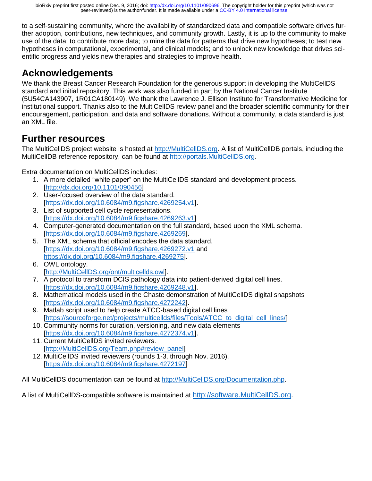to a self-sustaining community, where the availability of standardized data and compatible software drives further adoption, contributions, new techniques, and community growth. Lastly, it is up to the community to make use of the data: to contribute more data; to mine the data for patterns that drive new hypotheses; to test new hypotheses in computational, experimental, and clinical models; and to unlock new knowledge that drives scientific progress and yields new therapies and strategies to improve health.

## **Acknowledgements**

We thank the Breast Cancer Research Foundation for the generous support in developing the MultiCellDS standard and initial repository. This work was also funded in part by the National Cancer Institute (5U54CA143907, 1R01CA180149). We thank the Lawrence J. Ellison Institute for Transformative Medicine for institutional support. Thanks also to the MultiCellDS review panel and the broader scientific community for their encouragement, participation, and data and software donations. Without a community, a data standard is just an XML file.

#### **Further resources**

The MultiCellDS project website is hosted at [http://MultiCellDS.org.](http://multicellds.org/) A list of MultiCellDB portals, including the MultiCellDB reference repository, can be found at [http://portals.MultiCellDS.org.](http://portals.multicellds.org/)

Extra documentation on MultiCellDS includes:

- 1. A more detailed "white paper" on the MultiCellDS standard and development process. [<http://dx.doi.org/10.1101/090456>]
- 2. User-focused overview of the data standard. [\[https://dx.doi.org/10.6084/m9.figshare.4269254.v1\]](https://dx.doi.org/10.6084/m9.figshare.4269254.v1).
- 3. List of supported cell cycle representations. [\[https://dx.doi.org/10.6084/m9.figshare.4269263.v1\]](https://dx.doi.org/10.6084/m9.figshare.4269263.v1)
- 4. Computer-generated documentation on the full standard, based upon the XML schema. [\[https://dx.doi.org/10.6084/m9.figshare.4269269\]](https://dx.doi.org/10.6084/m9.figshare.4269269).
- 5. The XML schema that official encodes the data standard. [\[https://dx.doi.org/10.6084/m9.figshare.4269272.v1](https://dx.doi.org/10.6084/m9.figshare.4269272.v1) and [https://dx.doi.org/10.6084/m9.figshare.4269275\]](https://dx.doi.org/10.6084/m9.figshare.4269275).
- 6. OWL ontology. [\[http://MultiCellDS.org/ont/multicellds.owl\]](http://multicellds.org/ont/multicellds.owl).
- 7. A protocol to transform DCIS pathology data into patient-derived digital cell lines. [\[https://dx.doi.org/10.6084/m9.figshare.4269248.v1\]](https://dx.doi.org/10.6084/m9.figshare.4269248.v1).
- 8. Mathematical models used in the Chaste demonstration of MultiCellDS digital snapshots [\[https://dx.doi.org/10.6084/m9.figshare.4272242\]](https://dx.doi.org/10.6084/m9.figshare.4272242).
- 9. Matlab script used to help create ATCC-based digital cell lines [\[https://sourceforge.net/projects/multicellds/files/Tools/ATCC\\_to\\_digital\\_cell\\_lines/\]](https://sourceforge.net/projects/multicellds/files/Tools/ATCC_to_digital_cell_lines/)
- 10. Community norms for curation, versioning, and new data elements [\[https://dx.doi.org/10.6084/m9.figshare.4272374.v1\]](https://dx.doi.org/10.6084/m9.figshare.4272374.v1).
- 11. Current MultiCellDS invited reviewers. [\[http://MultiCellDS.org/Team.php#review\\_panel\]](http://multicellds.org/Team.php#review_panel)
- 12. MultiCellDS invited reviewers (rounds 1-3, through Nov. 2016). [\[https://dx.doi.org/10.6084/m9.figshare.4272197\]](https://dx.doi.org/10.6084/m9.figshare.4272197)

All MultiCellDS documentation can be found at [http://MultiCellDS.org/Documentation.php.](http://multicellds.org/Documentation.php)

A list of MultiCellDS-compatible software is maintained at [http://software.MultiCellDS.org.](http://software.multicellds.org/)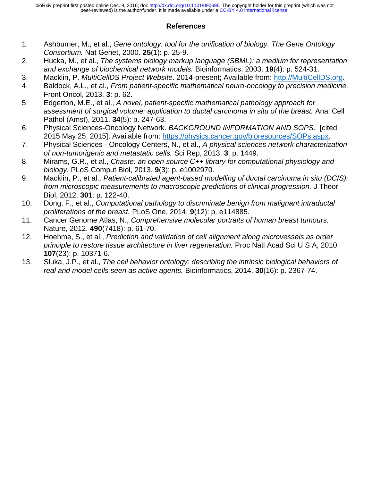#### **References**

- 1. Ashburner, M., et al., *Gene ontology: tool for the unification of biology. The Gene Ontology Consortium.* Nat Genet, 2000. **25**(1): p. 25-9.
- 2. Hucka, M., et al., *The systems biology markup language (SBML): a medium for representation and exchange of biochemical network models.* Bioinformatics, 2003. **19**(4): p. 524-31.
- 3. Macklin, P. *MultiCellDS Project Website*. 2014-present; Available from: [http://MultiCellDS.org.](http://multicellds.org/)
- 4. Baldock, A.L., et al., *From patient-specific mathematical neuro-oncology to precision medicine.* Front Oncol, 2013. **3**: p. 62.
- 5. Edgerton, M.E., et al., *A novel, patient-specific mathematical pathology approach for assessment of surgical volume: application to ductal carcinoma in situ of the breast.* Anal Cell Pathol (Amst), 2011. **34**(5): p. 247-63.
- 6. Physical Sciences-Oncology Network. *BACKGROUND INFORMATION AND SOPS*. [cited 2015 May 25, 2015]; Available from: [https://physics.cancer.gov/bioresources/SOPs.aspx.](https://physics.cancer.gov/bioresources/SOPs.aspx)
- 7. Physical Sciences Oncology Centers, N., et al., *A physical sciences network characterization of non-tumorigenic and metastatic cells.* Sci Rep, 2013. **3**: p. 1449.
- 8. Mirams, G.R., et al., *Chaste: an open source C++ library for computational physiology and biology.* PLoS Comput Biol, 2013. **9**(3): p. e1002970.
- 9. Macklin, P., et al., *Patient-calibrated agent-based modelling of ductal carcinoma in situ (DCIS): from microscopic measurements to macroscopic predictions of clinical progression.* J Theor Biol, 2012. **301**: p. 122-40.
- 10. Dong, F., et al., *Computational pathology to discriminate benign from malignant intraductal proliferations of the breast.* PLoS One, 2014. **9**(12): p. e114885.
- 11. Cancer Genome Atlas, N., *Comprehensive molecular portraits of human breast tumours.* Nature, 2012. **490**(7418): p. 61-70.
- 12. Hoehme, S., et al., *Prediction and validation of cell alignment along microvessels as order principle to restore tissue architecture in liver regeneration.* Proc Natl Acad Sci U S A, 2010. **107**(23): p. 10371-6.
- 13. Sluka, J.P., et al., *The cell behavior ontology: describing the intrinsic biological behaviors of real and model cells seen as active agents.* Bioinformatics, 2014. **30**(16): p. 2367-74.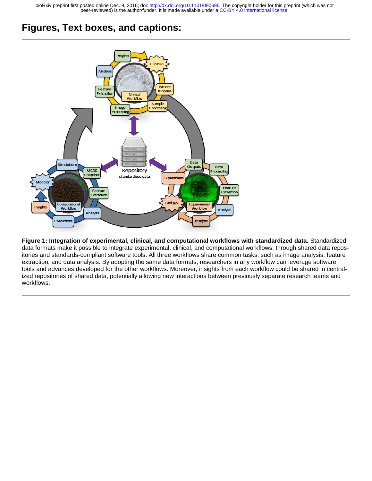peer-reviewed) is the author/funder. It is made available under a [CC-BY 4.0 International license.](http://creativecommons.org/licenses/by/4.0/) bioRxiv preprint first posted online Dec. 9, 2016; doi: [http://dx.doi.org/10.1101/090696.](http://dx.doi.org/10.1101/090696) The copyright holder for this preprint (which was not

#### **Figures, Text boxes, and captions:**



**Figure 1: Integration of experimental, clinical, and computational workflows with standardized data.** Standardized data formats make it possible to integrate experimental, clinical, and computational workflows, through shared data repositories and standards-compliant software tools. All three workflows share common tasks, such as image analysis, feature extraction, and data analysis. By adopting the same data formats, researchers in any workflow can leverage software tools and advances developed for the other workflows. Moreover, insights from each workflow could be shared in centralized repositories of shared data, potentially allowing new interactions between previously separate research teams and workflows.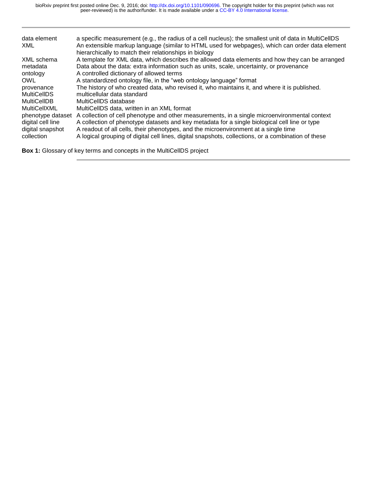| data element<br>XML | a specific measurement (e.g., the radius of a cell nucleus); the smallest unit of data in MultiCellDS<br>An extensible markup language (similar to HTML used for webpages), which can order data element<br>hierarchically to match their relationships in biology |
|---------------------|--------------------------------------------------------------------------------------------------------------------------------------------------------------------------------------------------------------------------------------------------------------------|
| XML schema          | A template for XML data, which describes the allowed data elements and how they can be arranged                                                                                                                                                                    |
| metadata            | Data about the data: extra information such as units, scale, uncertainty, or provenance                                                                                                                                                                            |
| ontology            | A controlled dictionary of allowed terms                                                                                                                                                                                                                           |
| <b>OWL</b>          | A standardized ontology file, in the "web ontology language" format                                                                                                                                                                                                |
| provenance          | The history of who created data, who revised it, who maintains it, and where it is published.                                                                                                                                                                      |
| <b>MultiCelIDS</b>  | multicellular data standard                                                                                                                                                                                                                                        |
| MultiCelIDB         | MultiCellDS database                                                                                                                                                                                                                                               |
| MultiCellXML        | MultiCellDS data, written in an XML format                                                                                                                                                                                                                         |
| phenotype dataset   | A collection of cell phenotype and other measurements, in a single microenvironmental context                                                                                                                                                                      |
| digital cell line   | A collection of phenotype datasets and key metadata for a single biological cell line or type                                                                                                                                                                      |
| digital snapshot    | A readout of all cells, their phenotypes, and the microenvironment at a single time                                                                                                                                                                                |
| collection          | A logical grouping of digital cell lines, digital snapshots, collections, or a combination of these                                                                                                                                                                |

**Box 1:** Glossary of key terms and concepts in the MultiCellDS project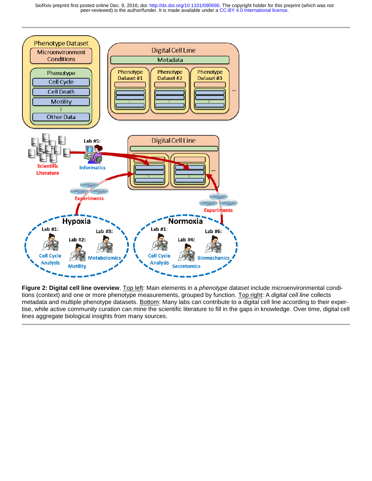peer-reviewed) is the author/funder. It is made available under a [CC-BY 4.0 International license.](http://creativecommons.org/licenses/by/4.0/) bioRxiv preprint first posted online Dec. 9, 2016; doi: [http://dx.doi.org/10.1101/090696.](http://dx.doi.org/10.1101/090696) The copyright holder for this preprint (which was not



**Figure 2: Digital cell line overview**. Top left: Main elements in a *phenotype dataset* include microenvironmental conditions (context) and one or more phenotype measurements, grouped by function. Top right: A *digital cell line* collects metadata and multiple phenotype datasets. Bottom: Many labs can contribute to a digital cell line according to their expertise, while active community curation can mine the scientific literature to fill in the gaps in knowledge. Over time, digital cell lines aggregate biological insights from many sources.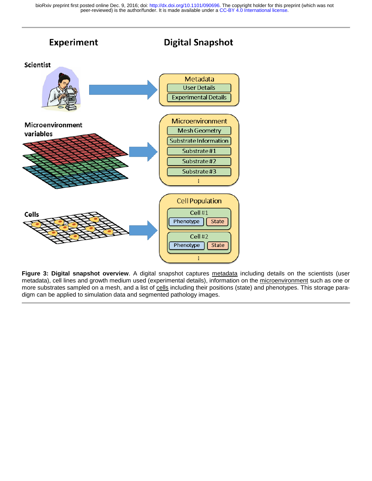peer-reviewed) is the author/funder. It is made available under a [CC-BY 4.0 International license.](http://creativecommons.org/licenses/by/4.0/) bioRxiv preprint first posted online Dec. 9, 2016; doi: [http://dx.doi.org/10.1101/090696.](http://dx.doi.org/10.1101/090696) The copyright holder for this preprint (which was not



**Figure 3: Digital snapshot overview**. A digital snapshot captures metadata including details on the scientists (user metadata), cell lines and growth medium used (experimental details), information on the microenvironment such as one or more substrates sampled on a mesh, and a list of cells including their positions (state) and phenotypes. This storage paradigm can be applied to simulation data and segmented pathology images.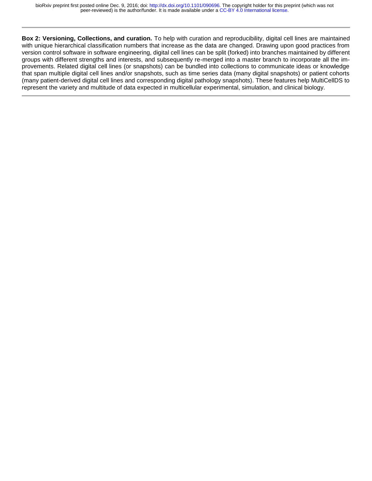**Box 2: Versioning, Collections, and curation.** To help with curation and reproducibility, digital cell lines are maintained with unique hierarchical classification numbers that increase as the data are changed. Drawing upon good practices from version control software in software engineering, digital cell lines can be split (forked) into branches maintained by different groups with different strengths and interests, and subsequently re-merged into a master branch to incorporate all the improvements. Related digital cell lines (or snapshots) can be bundled into collections to communicate ideas or knowledge that span multiple digital cell lines and/or snapshots, such as time series data (many digital snapshots) or patient cohorts (many patient-derived digital cell lines and corresponding digital pathology snapshots). These features help MultiCellDS to represent the variety and multitude of data expected in multicellular experimental, simulation, and clinical biology.